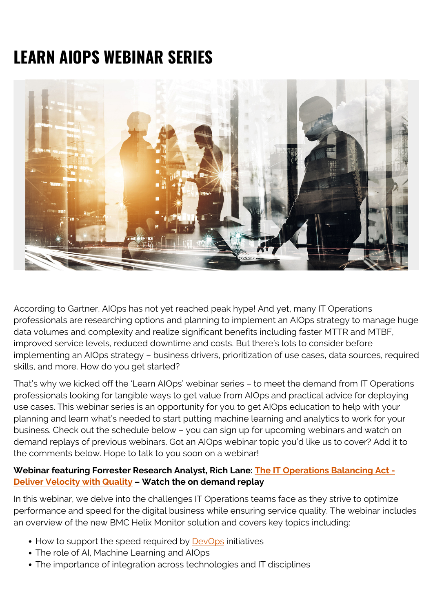# **LEARN AIOPS WEBINAR SERIES**



According to Gartner, AIOps has not yet reached peak hype! And yet, many IT Operations professionals are researching options and planning to implement an AIOps strategy to manage huge data volumes and complexity and realize significant benefits including faster MTTR and MTBF, improved service levels, reduced downtime and costs. But there's lots to consider before implementing an AIOps strategy – business drivers, prioritization of use cases, data sources, required skills, and more. How do you get started?

That's why we kicked off the 'Learn AIOps' webinar series – to meet the demand from IT Operations professionals looking for tangible ways to get value from AIOps and practical advice for deploying use cases. This webinar series is an opportunity for you to get AIOps education to help with your planning and learn what's needed to start putting machine learning and analytics to work for your business. Check out the schedule below – you can sign up for upcoming webinars and watch on demand replays of previous webinars. Got an AIOps webinar topic you'd like us to cover? Add it to the comments below. Hope to talk to you soon on a webinar!

## **Webinar featuring Forrester Research Analyst, Rich Lane: [The IT Operations Balancing Act -](https://blogs.bmc.com/forms/balance-it-operations-with-ai-webinar.html) [Deliver Velocity with Quality](https://blogs.bmc.com/forms/balance-it-operations-with-ai-webinar.html) – Watch the on demand replay**

In this webinar, we delve into the challenges IT Operations teams face as they strive to optimize performance and speed for the digital business while ensuring service quality. The webinar includes an overview of the new BMC Helix Monitor solution and covers key topics including:

- How to support the speed required by [DevOps](https://blogs.bmc.com/blogs/devops-basics-introduction/) initiatives
- The role of AI, Machine Learning and AIOps
- The importance of integration across technologies and IT disciplines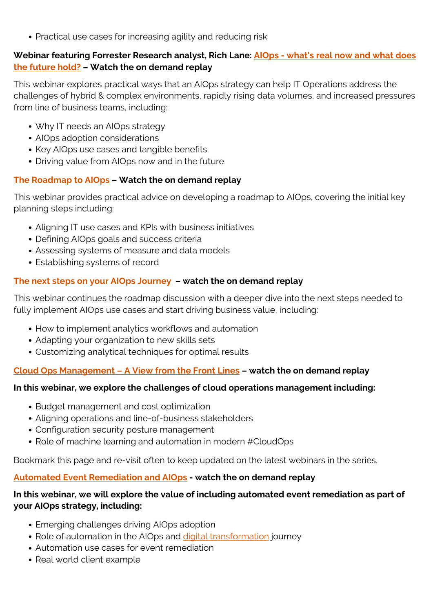Practical use cases for increasing agility and reducing risk

## **Webinar featuring Forrester Research analyst, Rich Lane: [AIOps - what's real now and what does](https://blogs.bmc.com/forms/future-aiops-strategy-webinar.html) [the future hold?](https://blogs.bmc.com/forms/future-aiops-strategy-webinar.html) – Watch the on demand replay**

This webinar explores practical ways that an AIOps strategy can help IT Operations address the challenges of hybrid & complex environments, rapidly rising data volumes, and increased pressures from line of business teams, including:

- Why IT needs an AIOps strategy
- AIOps adoption considerations
- Key AIOps use cases and tangible benefits
- Driving value from AIOps now and in the future

## **[The Roadmap to AIOps](https://blogs.bmc.com/forms/aiops-roadmap-webinar.html) – Watch the on demand replay**

This webinar provides practical advice on developing a roadmap to AIOps, covering the initial key planning steps including:

- Aligning IT use cases and KPIs with business initiatives
- Defining AIOps goals and success criteria
- Assessing systems of measure and data models
- Establishing systems of record

### **[The next steps on your AIOps Journey](https://blogs.bmc.com/forms/aiops-roadmap-next-steps-webinar.html) – watch the on demand replay**

This webinar continues the roadmap discussion with a deeper dive into the next steps needed to fully implement AIOps use cases and start driving business value, including:

- How to implement analytics workflows and automation
- Adapting your organization to new skills sets
- Customizing analytical techniques for optimal results

## **[Cloud Ops Management – A View from the Front Lines](https://blogs.bmc.com/forms/cloudops-management-challenges-webinar.html) – watch the on demand replay**

#### **In this webinar, we explore the challenges of cloud operations management including:**

- Budget management and cost optimization
- Aligning operations and line-of-business stakeholders
- Configuration security posture management
- Role of machine learning and automation in modern #CloudOps

Bookmark this page and re-visit often to keep updated on the latest webinars in the series.

## **[Automated Event Remediation and AIOps](https://blogs.bmc.com/forms/aiops-automated-event-remediation-webinar.html) - watch the on demand replay**

### **In this webinar, we will explore the value of including automated event remediation as part of your AIOps strategy, including:**

- Emerging challenges driving AIOps adoption
- Role of automation in the AIOps and [digital transformation](https://blogs.bmc.com/blogs/what-is-digital-transformation/) journey
- Automation use cases for event remediation
- Real world client example